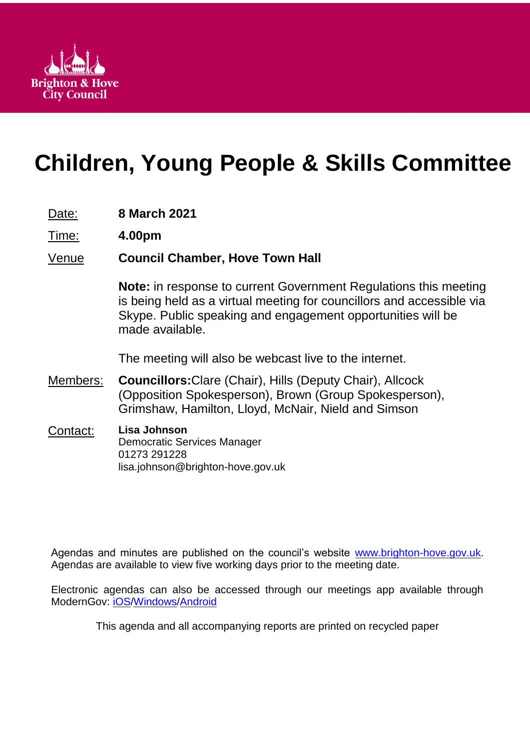

# **Children, Young People & Skills Committee**

- Date: **8 March 2021**
- Time: **4.00pm**

# Venue **Council Chamber, Hove Town Hall**

**Note:** in response to current Government Regulations this meeting is being held as a virtual meeting for councillors and accessible via Skype. Public speaking and engagement opportunities will be made available.

The meeting will also be webcast live to the internet.

- Members: **Councillors:**Clare (Chair), Hills (Deputy Chair), Allcock (Opposition Spokesperson), Brown (Group Spokesperson), Grimshaw, Hamilton, Lloyd, McNair, Nield and Simson
- Contact: **Lisa Johnson** Democratic Services Manager 01273 291228 lisa.johnson@brighton-hove.gov.uk

Agendas and minutes are published on the council's website [www.brighton-hove.gov.uk.](http://www.brighton-hove.gov.uk/) Agendas are available to view five working days prior to the meeting date.

Electronic agendas can also be accessed through our meetings app available through ModernGov: [iOS](https://play.google.com/store/apps/details?id=uk.co.moderngov.modgov&hl=en_GB)[/Windows/](https://www.microsoft.com/en-gb/p/modgov/9nblggh0c7s7#activetab=pivot:overviewtab)[Android](https://play.google.com/store/apps/details?id=uk.co.moderngov.modgov&hl=en_GB)

This agenda and all accompanying reports are printed on recycled paper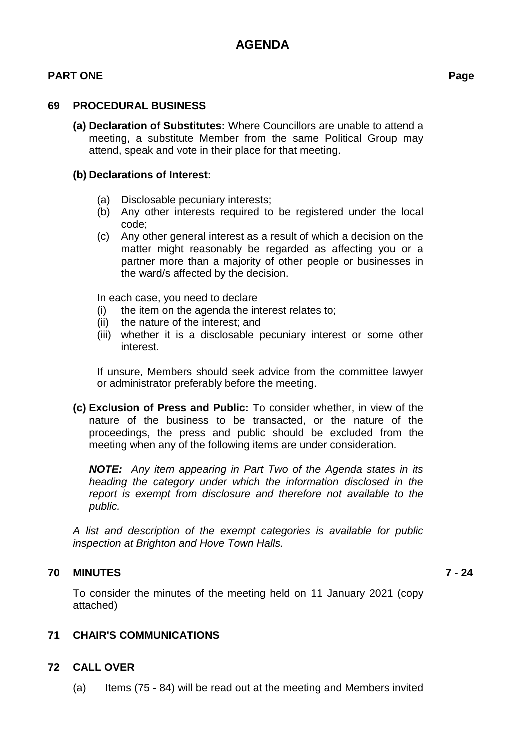#### **PART ONE Page**

#### **69 PROCEDURAL BUSINESS**

**(a) Declaration of Substitutes:** Where Councillors are unable to attend a meeting, a substitute Member from the same Political Group may attend, speak and vote in their place for that meeting.

#### **(b) Declarations of Interest:**

- (a) Disclosable pecuniary interests;
- (b) Any other interests required to be registered under the local code;
- (c) Any other general interest as a result of which a decision on the matter might reasonably be regarded as affecting you or a partner more than a majority of other people or businesses in the ward/s affected by the decision.

In each case, you need to declare

- (i) the item on the agenda the interest relates to;
- (ii) the nature of the interest; and
- (iii) whether it is a disclosable pecuniary interest or some other interest.

If unsure, Members should seek advice from the committee lawyer or administrator preferably before the meeting.

**(c) Exclusion of Press and Public:** To consider whether, in view of the nature of the business to be transacted, or the nature of the proceedings, the press and public should be excluded from the meeting when any of the following items are under consideration.

*NOTE: Any item appearing in Part Two of the Agenda states in its heading the category under which the information disclosed in the report is exempt from disclosure and therefore not available to the public.*

*A list and description of the exempt categories is available for public inspection at Brighton and Hove Town Halls.*

#### **70 MINUTES 7 - 24**

To consider the minutes of the meeting held on 11 January 2021 (copy attached)

#### **71 CHAIR'S COMMUNICATIONS**

#### **72 CALL OVER**

(a) Items (75 - 84) will be read out at the meeting and Members invited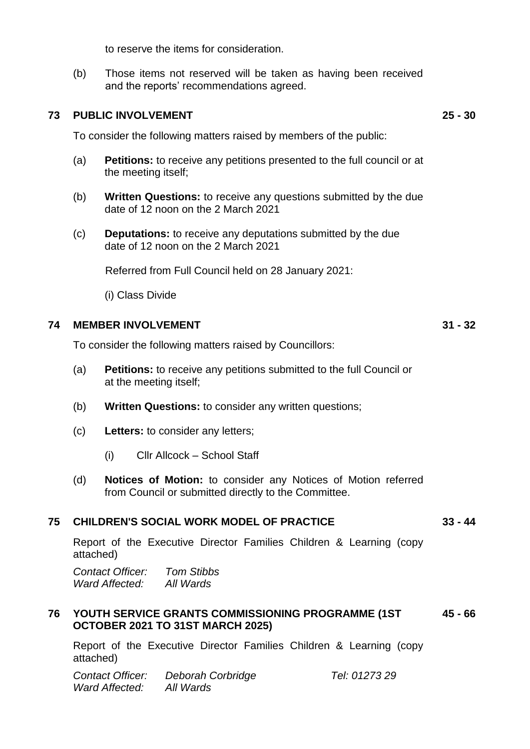to reserve the items for consideration.

(b) Those items not reserved will be taken as having been received and the reports' recommendations agreed.

#### **73 PUBLIC INVOLVEMENT 25 - 30**

To consider the following matters raised by members of the public:

- (a) **Petitions:** to receive any petitions presented to the full council or at the meeting itself;
- (b) **Written Questions:** to receive any questions submitted by the due date of 12 noon on the 2 March 2021
- (c) **Deputations:** to receive any deputations submitted by the due date of 12 noon on the 2 March 2021

Referred from Full Council held on 28 January 2021:

(i) Class Divide

#### **74 MEMBER INVOLVEMENT 31 - 32**

To consider the following matters raised by Councillors:

- (a) **Petitions:** to receive any petitions submitted to the full Council or at the meeting itself;
- (b) **Written Questions:** to consider any written questions;
- (c) **Letters:** to consider any letters;
	- (i) Cllr Allcock School Staff
- (d) **Notices of Motion:** to consider any Notices of Motion referred from Council or submitted directly to the Committee.

#### **75 CHILDREN'S SOCIAL WORK MODEL OF PRACTICE 33 - 44**

Report of the Executive Director Families Children & Learning (copy attached)

*Contact Officer: Tom Stibbs Ward Affected: All Wards*

#### **76 YOUTH SERVICE GRANTS COMMISSIONING PROGRAMME (1ST 45 - 66 OCTOBER 2021 TO 31ST MARCH 2025)**

Report of the Executive Director Families Children & Learning (copy attached)

| Contact Officer: | Deborah Corbridge |
|------------------|-------------------|
| Ward Affected:   | All Wards         |

*Contact Officer: Deborah Corbridge Tel: 01273 29*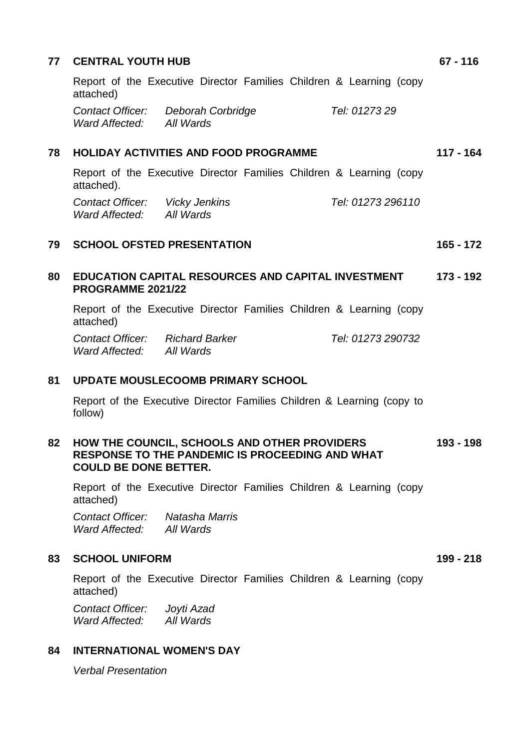| 77 | <b>CENTRAL YOUTH HUB</b>                                                                                                               | $67 - 116$  |
|----|----------------------------------------------------------------------------------------------------------------------------------------|-------------|
|    | Report of the Executive Director Families Children & Learning (copy<br>attached)                                                       |             |
|    | Tel: 0127329<br>Contact Officer: Deborah Corbridge<br>Ward Affected: All Wards                                                         |             |
| 78 | <b>HOLIDAY ACTIVITIES AND FOOD PROGRAMME</b>                                                                                           | $117 - 164$ |
|    | Report of the Executive Director Families Children & Learning (copy<br>attached).                                                      |             |
|    | Contact Officer: Vicky Jenkins<br>Tel: 01273 296110<br>Ward Affected: All Wards                                                        |             |
| 79 | <b>SCHOOL OFSTED PRESENTATION</b>                                                                                                      | $165 - 172$ |
| 80 | EDUCATION CAPITAL RESOURCES AND CAPITAL INVESTMENT<br>PROGRAMME 2021/22                                                                | 173 - 192   |
|    | Report of the Executive Director Families Children & Learning (copy<br>attached)                                                       |             |
|    | <b>Contact Officer:</b> Richard Barker<br>Tel: 01273 290732<br>Ward Affected: All Wards                                                |             |
| 81 | <b>UPDATE MOUSLECOOMB PRIMARY SCHOOL</b>                                                                                               |             |
|    | Report of the Executive Director Families Children & Learning (copy to<br>follow)                                                      |             |
| 82 | HOW THE COUNCIL, SCHOOLS AND OTHER PROVIDERS<br><b>RESPONSE TO THE PANDEMIC IS PROCEEDING AND WHAT</b><br><b>COULD BE DONE BETTER.</b> | 193 - 198   |
|    | Report of the Executive Director Families Children & Learning (copy<br>attached)                                                       |             |
|    | Contact Officer: Natasha Marris<br>Ward Affected: All Wards                                                                            |             |
| 83 | <b>SCHOOL UNIFORM</b>                                                                                                                  | 199 - 218   |
|    | Report of the Executive Director Families Children & Learning (copy<br>attached)                                                       |             |
|    | Contact Officer: Joyti Azad<br>Ward Affected: All Wards                                                                                |             |
| 84 | <b>INTERNATIONAL WOMEN'S DAY</b>                                                                                                       |             |
|    | <b>Verbal Presentation</b>                                                                                                             |             |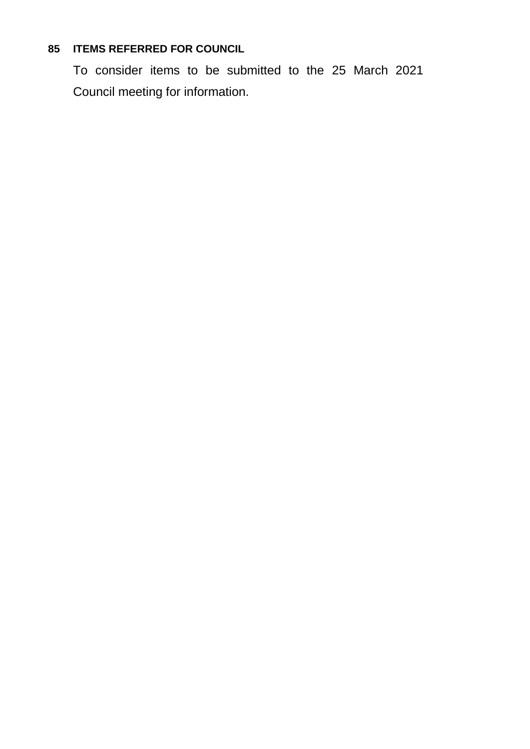# **85 ITEMS REFERRED FOR COUNCIL**

To consider items to be submitted to the 25 March 2021 Council meeting for information.